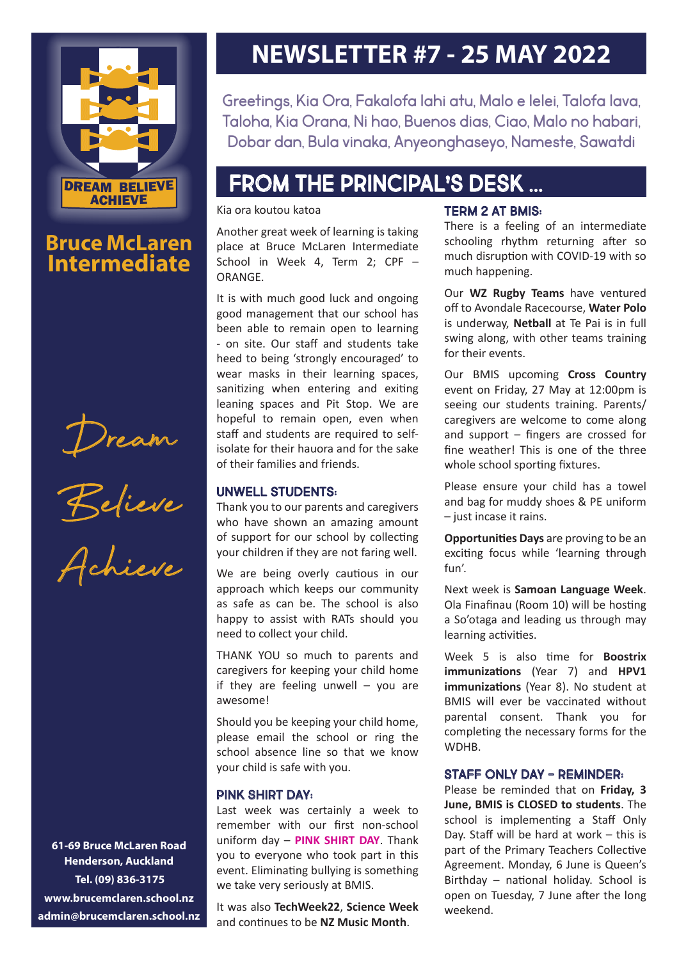

# **Bruce McLaren Intermediate**

Dream

Believe



**61-69 Bruce McLaren Road Henderson, Auckland Tel. (09) 836-3175 www.brucemclaren.school.nz admin@brucemclaren.school.nz**

# **NEWSLETTER #7 - 25 MAY 2022**

Greetings, Kia Ora, Fakalofa lahi atu, Malo e lelei, Talofa lava, Taloha, Kia Orana, Ni hao, Buenos dias, Ciao, Malo no habari, Dobar dan, Bula vinaka, Anyeonghaseyo, Nameste, Sawatdi

# From The Principal's Desk ...

#### Kia ora koutou katoa

Another great week of learning is taking place at Bruce McLaren Intermediate School in Week 4, Term 2; CPF – ORANGE.

It is with much good luck and ongoing good management that our school has been able to remain open to learning - on site. Our staff and students take heed to being 'strongly encouraged' to wear masks in their learning spaces, sanitizing when entering and exiting leaning spaces and Pit Stop. We are hopeful to remain open, even when staff and students are required to selfisolate for their hauora and for the sake of their families and friends.

### UNWELL STUDENTS:

Thank you to our parents and caregivers who have shown an amazing amount of support for our school by collecting your children if they are not faring well.

We are being overly cautious in our approach which keeps our community as safe as can be. The school is also happy to assist with RATs should you need to collect your child.

THANK YOU so much to parents and caregivers for keeping your child home if they are feeling unwell  $-$  you are awesome!

Should you be keeping your child home, please email the school or ring the school absence line so that we know your child is safe with you.

### PINK SHIRT DAY:

Last week was certainly a week to remember with our first non-school uniform day – **PINK SHIRT DAY**. Thank you to everyone who took part in this event. Eliminating bullying is something we take very seriously at BMIS.

It was also **TechWeek22**, **Science Week** and continues to be **NZ Music Month**.

### TERM 2 AT BMIS:

There is a feeling of an intermediate schooling rhythm returning after so much disruption with COVID-19 with so much happening.

Our **WZ Rugby Teams** have ventured off to Avondale Racecourse, **Water Polo** is underway, **Netball** at Te Pai is in full swing along, with other teams training for their events.

Our BMIS upcoming **Cross Country** event on Friday, 27 May at 12:00pm is seeing our students training. Parents/ caregivers are welcome to come along and support – fingers are crossed for fine weather! This is one of the three whole school sporting fixtures.

Please ensure your child has a towel and bag for muddy shoes & PE uniform – just incase it rains.

**Opportunities Days** are proving to be an exciting focus while 'learning through fun'.

Next week is **Samoan Language Week**. Ola Finafinau (Room 10) will be hosting a So'otaga and leading us through may learning activities.

Week 5 is also time for **Boostrix immunizations** (Year 7) and **HPV1 immunizations** (Year 8). No student at BMIS will ever be vaccinated without parental consent. Thank you for completing the necessary forms for the **WDHB** 

### STAFF ONLY DAY - REMINDER:

Please be reminded that on **Friday, 3 June, BMIS is CLOSED to students**. The school is implementing a Staff Only Day. Staff will be hard at work – this is part of the Primary Teachers Collective Agreement. Monday, 6 June is Queen's Birthday – national holiday. School is open on Tuesday, 7 June after the long weekend.